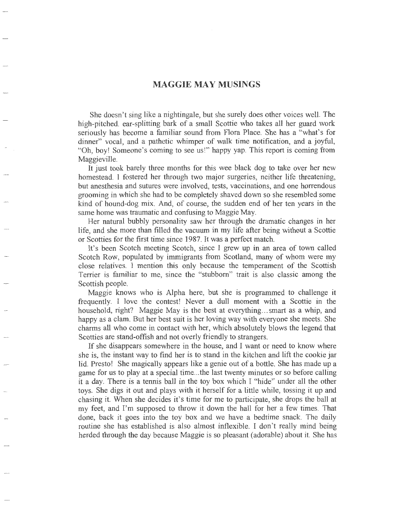## **MAGGIE MAY MUSINGS**

She doesn't sing like a nightingale, but she surely does other voices well. The high-pitched. ear-splitting bark of a small Scottie who takes all her guard work seriously has become a familiar sound from Flora Place. She has a "what's for dinner" vocal, and a pathetic whimper of walk time notification, and a joyful, "Oh, boy! Someone's coming to see us!" happy yap. This report is coming from Maggieville.

It just took barely three months for this wee black dog to take over her new homestead. I fostered her through two major surgeries, neither life threatening, but anesthesia and sutures were involved, tests, vaccinations, and one horrendous grooming in which she had to be completely shaved down so she resembled some kind of hound-dog mix. And, of course, the sudden end of her ten years in the same home was traumatic and confusing to Maggie May.

Her natural bubbly personality saw her through the dramatic changes in her life, and she more than filled the vacuum in my life after being without a Scottie or Scotties for the first time since 1987. It was a perfect match.

It's been Scotch meeting Scotch, since I grew up in an area of town called Scotch Row, populated by immigrants from Scotland, many of whom were my close relatives. I mention this only because the temperament of the Scottish Terrier is familiar to me, since the "stubborn" trait is also classic among the Scottish people.

Maggie knows who is Alpha here, but she is programmed to challenge it frequently. I love the contest! Never a dull moment with a Scottie in the household, right? Maggie May is the best at everything... smart as a whip, and happy as a clam. But her best suit is her loving way with everyone she meets. She charms all who come in contact with her, which absolutely blows the legend that Scotties are stand-offish and not overly friendly to strangers.

If she disappears somewhere in the house, and I want or need to know where she is, the instant way to find her is to stand in the kitchen and lift the cookie jar lid. Presto! She magically appears like a genie out of a bottle. She has made up a game for us to play at a special time...the last twenty minutes or so before calling it a day. There is a tennis ball in the toy box which I "hide" under all the other toys. She digs it out and plays with it herself for a little while, tossing it up and chasing it. When she decides it's time for me to participate, she drops the ball at my feet, and I'm supposed to throw it down the hall for her a few times. That done, back it goes into the toy box and we have a bedtime snack. The daily routine she has established is also almost inflexible. I don't really mind being herded through the day because Maggie is so pleasant (adorable) about it. She has